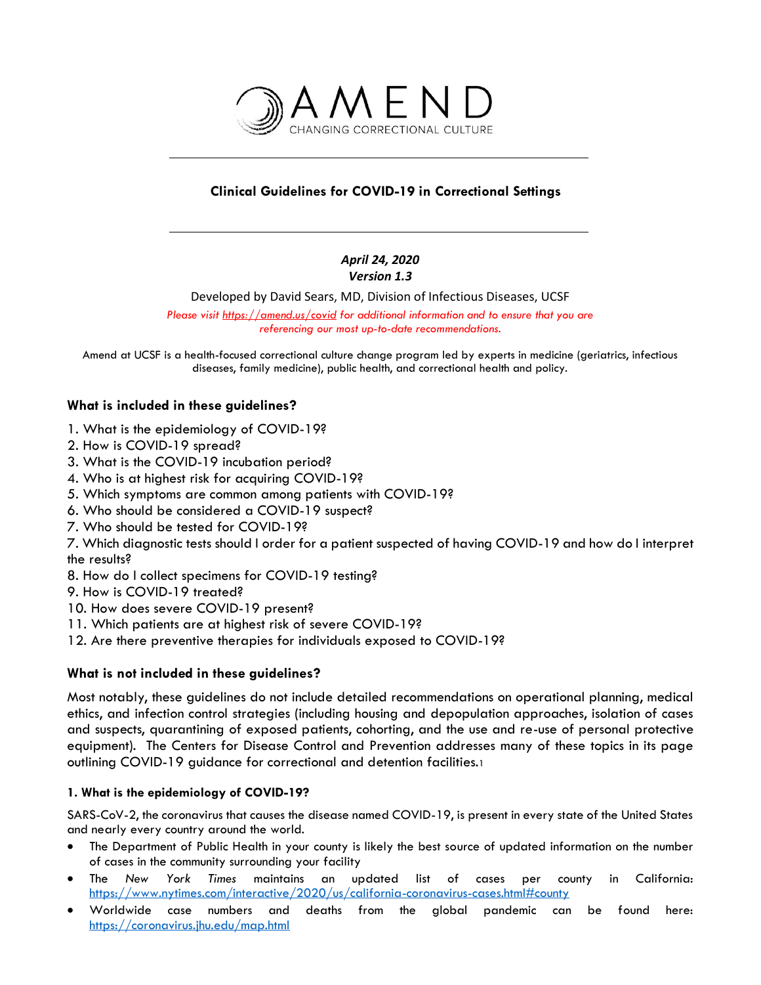

# **Clinical Guidelines for COVID-19 in Correctional Settings**

### *April 24, 2020 Version 1.3*

Developed by David Sears, MD, Division of Infectious Diseases, UCSF

*Please visit https://amend.us/covid for additional information and to ensure that you are referencing our most up-to-date recommendations.*

Amend at UCSF is a health-focused correctional culture change program led by experts in medicine (geriatrics, infectious diseases, family medicine), public health, and correctional health and policy.

## **What is included in these guidelines?**

- 1. What is the epidemiology of COVID-19?
- 2. How is COVID-19 spread?
- 3. What is the COVID-19 incubation period?
- 4. Who is at highest risk for acquiring COVID-19?
- 5. Which symptoms are common among patients with COVID-19?
- 6. Who should be considered a COVID-19 suspect?
- 7. Who should be tested for COVID-19?

7. Which diagnostic tests should I order for a patient suspected of having COVID-19 and how do I interpret the results?

- 8. How do I collect specimens for COVID-19 testing?
- 9. How is COVID-19 treated?
- 10. How does severe COVID-19 present?
- 11. Which patients are at highest risk of severe COVID-19?
- 12. Are there preventive therapies for individuals exposed to COVID-19?

### **What is not included in these guidelines?**

Most notably, these guidelines do not include detailed recommendations on operational planning, medical ethics, and infection control strategies (including housing and depopulation approaches, isolation of cases and suspects, quarantining of exposed patients, cohorting, and the use and re-use of personal protective equipment). The Centers for Disease Control and Prevention addresses many of these topics in its page outlining COVID-19 guidance for correctional and detention facilities.<sup>1</sup>

### **1. What is the epidemiology of COVID-19?**

SARS-CoV-2, the coronavirus that causes the disease named COVID-19, is present in every state of the United States and nearly every country around the world.

- The Department of Public Health in your county is likely the best source of updated information on the number of cases in the community surrounding your facility
- The *New York Times* maintains an updated list of cases per county in California: <https://www.nytimes.com/interactive/2020/us/california-coronavirus-cases.html#county>
- Worldwide case numbers and deaths from the global pandemic can be found here: <https://coronavirus.jhu.edu/map.html>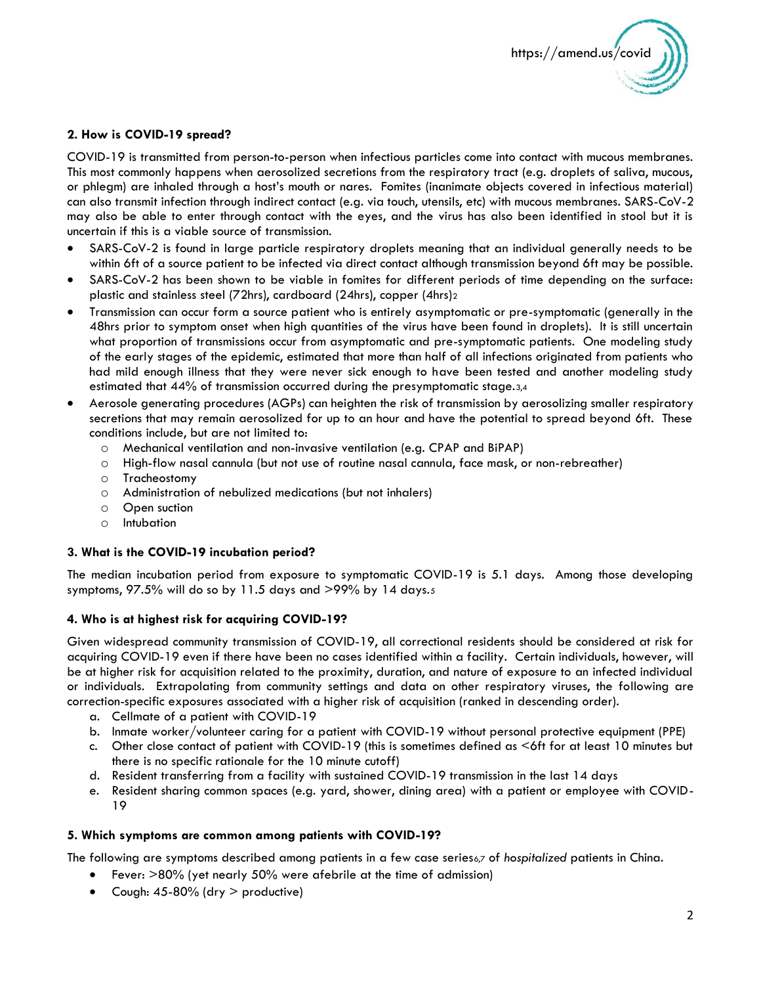

### **2. How is COVID-19 spread?**

COVID-19 is transmitted from person-to-person when infectious particles come into contact with mucous membranes. This most commonly happens when aerosolized secretions from the respiratory tract (e.g. droplets of saliva, mucous, or phlegm) are inhaled through a host's mouth or nares. Fomites (inanimate objects covered in infectious material) can also transmit infection through indirect contact (e.g. via touch, utensils, etc) with mucous membranes. SARS-CoV-2 may also be able to enter through contact with the eyes, and the virus has also been identified in stool but it is uncertain if this is a viable source of transmission.

- SARS-CoV-2 is found in large particle respiratory droplets meaning that an individual generally needs to be within 6ft of a source patient to be infected via direct contact although transmission beyond 6ft may be possible.
- SARS-CoV-2 has been shown to be viable in fomites for different periods of time depending on the surface: plastic and stainless steel (72hrs), cardboard (24hrs), copper (4hrs)<sup>2</sup>
- Transmission can occur form a source patient who is entirely asymptomatic or pre-symptomatic (generally in the 48hrs prior to symptom onset when high quantities of the virus have been found in droplets). It is still uncertain what proportion of transmissions occur from asymptomatic and pre-symptomatic patients. One modeling study of the early stages of the epidemic, estimated that more than half of all infections originated from patients who had mild enough illness that they were never sick enough to have been tested and another modeling study estimated that 44% of transmission occurred during the presymptomatic stage.3,4
- Aerosole generating procedures (AGPs) can heighten the risk of transmission by aerosolizing smaller respiratory secretions that may remain aerosolized for up to an hour and have the potential to spread beyond 6ft. These conditions include, but are not limited to:
	- o Mechanical ventilation and non-invasive ventilation (e.g. CPAP and BiPAP)
	- o High-flow nasal cannula (but not use of routine nasal cannula, face mask, or non-rebreather)
	- o Tracheostomy
	- o Administration of nebulized medications (but not inhalers)
	- o Open suction
	- o Intubation

#### **3. What is the COVID-19 incubation period?**

The median incubation period from exposure to symptomatic COVID-19 is 5.1 days. Among those developing symptoms,  $97.5\%$  will do so by 11.5 days and  $>99\%$  by 14 days. $5$ 

#### **4. Who is at highest risk for acquiring COVID-19?**

Given widespread community transmission of COVID-19, all correctional residents should be considered at risk for acquiring COVID-19 even if there have been no cases identified within a facility. Certain individuals, however, will be at higher risk for acquisition related to the proximity, duration, and nature of exposure to an infected individual or individuals. Extrapolating from community settings and data on other respiratory viruses, the following are correction-specific exposures associated with a higher risk of acquisition (ranked in descending order).

- a. Cellmate of a patient with COVID-19
- b. Inmate worker/volunteer caring for a patient with COVID-19 without personal protective equipment (PPE)
- c. Other close contact of patient with COVID-19 (this is sometimes defined as <6ft for at least 10 minutes but there is no specific rationale for the 10 minute cutoff)
- d. Resident transferring from a facility with sustained COVID-19 transmission in the last 14 days
- e. Resident sharing common spaces (e.g. yard, shower, dining area) with a patient or employee with COVID-19

#### **5. Which symptoms are common among patients with COVID-19?**

The following are symptoms described among patients in a few case series6,7 of *hospitalized* patients in China.

- Fever: >80% (yet nearly 50% were afebrile at the time of admission)
- Cough:  $45-80\%$  (dry  $>$  productive)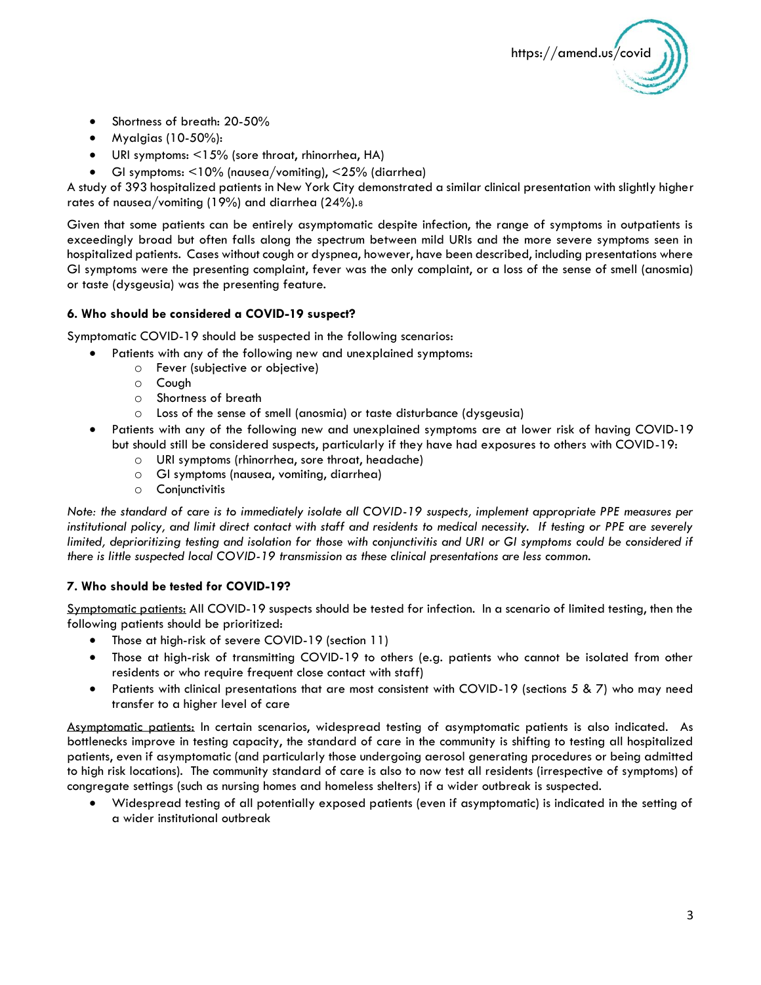

- Shortness of breath: 20-50%
- Myalgias (10-50%):
- URI symptoms: <15% (sore throat, rhinorrhea, HA)
- GI symptoms: <10% (nausea/vomiting), <25% (diarrhea)

A study of 393 hospitalized patients in New York City demonstrated a similar clinical presentation with slightly higher rates of nausea/vomiting (19%) and diarrhea (24%).<sup>8</sup>

Given that some patients can be entirely asymptomatic despite infection, the range of symptoms in outpatients is exceedingly broad but often falls along the spectrum between mild URIs and the more severe symptoms seen in hospitalized patients. Cases without cough or dyspnea, however, have been described, including presentations where GI symptoms were the presenting complaint, fever was the only complaint, or a loss of the sense of smell (anosmia) or taste (dysgeusia) was the presenting feature.

#### **6. Who should be considered a COVID-19 suspect?**

Symptomatic COVID-19 should be suspected in the following scenarios:

- Patients with any of the following new and unexplained symptoms:
	- o Fever (subjective or objective)
	- o Cough
	- o Shortness of breath
	- o Loss of the sense of smell (anosmia) or taste disturbance (dysgeusia)
- Patients with any of the following new and unexplained symptoms are at lower risk of having COVID-19 but should still be considered suspects, particularly if they have had exposures to others with COVID-19:
	- o URI symptoms (rhinorrhea, sore throat, headache)
	- o GI symptoms (nausea, vomiting, diarrhea)
	- o Conjunctivitis

*Note: the standard of care is to immediately isolate all COVID-19 suspects, implement appropriate PPE measures per institutional policy, and limit direct contact with staff and residents to medical necessity. If testing or PPE are severely limited, deprioritizing testing and isolation for those with conjunctivitis and URI or GI symptoms could be considered if there is little suspected local COVID-19 transmission as these clinical presentations are less common.*

#### **7. Who should be tested for COVID-19?**

Symptomatic patients: All COVID-19 suspects should be tested for infection. In a scenario of limited testing, then the following patients should be prioritized:

- Those at high-risk of severe COVID-19 (section 11)
- Those at high-risk of transmitting COVID-19 to others (e.g. patients who cannot be isolated from other residents or who require frequent close contact with staff)
- Patients with clinical presentations that are most consistent with COVID-19 (sections 5 & 7) who may need transfer to a higher level of care

Asymptomatic patients: In certain scenarios, widespread testing of asymptomatic patients is also indicated. As bottlenecks improve in testing capacity, the standard of care in the community is shifting to testing all hospitalized patients, even if asymptomatic (and particularly those undergoing aerosol generating procedures or being admitted to high risk locations). The community standard of care is also to now test all residents (irrespective of symptoms) of congregate settings (such as nursing homes and homeless shelters) if a wider outbreak is suspected.

• Widespread testing of all potentially exposed patients (even if asymptomatic) is indicated in the setting of a wider institutional outbreak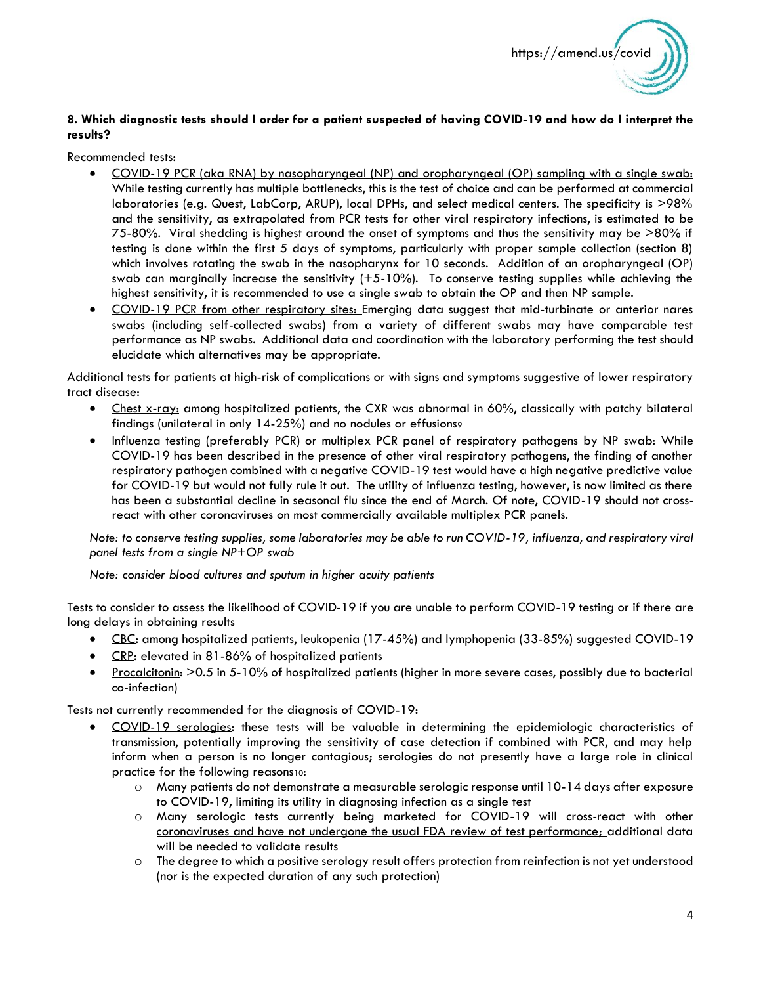

### **8. Which diagnostic tests should I order for a patient suspected of having COVID-19 and how do I interpret the results?**

Recommended tests:

- COVID-19 PCR (aka RNA) by nasopharyngeal (NP) and oropharyngeal (OP) sampling with a single swab: While testing currently has multiple bottlenecks, this is the test of choice and can be performed at commercial laboratories (e.g. Quest, LabCorp, ARUP), local DPHs, and select medical centers. The specificity is >98% and the sensitivity, as extrapolated from PCR tests for other viral respiratory infections, is estimated to be 75-80%. Viral shedding is highest around the onset of symptoms and thus the sensitivity may be >80% if testing is done within the first 5 days of symptoms, particularly with proper sample collection (section 8) which involves rotating the swab in the nasopharynx for 10 seconds. Addition of an oropharyngeal (OP) swab can marginally increase the sensitivity  $(+5-10%)$ . To conserve testing supplies while achieving the highest sensitivity, it is recommended to use a single swab to obtain the OP and then NP sample.
- COVID-19 PCR from other respiratory sites: Emerging data suggest that mid-turbinate or anterior nares swabs (including self-collected swabs) from a variety of different swabs may have comparable test performance as NP swabs. Additional data and coordination with the laboratory performing the test should elucidate which alternatives may be appropriate.

Additional tests for patients at high-risk of complications or with signs and symptoms suggestive of lower respiratory tract disease:

- Chest x-ray: among hospitalized patients, the CXR was abnormal in 60%, classically with patchy bilateral findings (unilateral in only 14-25%) and no nodules or effusions<sup>9</sup>
- Influenza testing (preferably PCR) or multiplex PCR panel of respiratory pathogens by NP swab: While COVID-19 has been described in the presence of other viral respiratory pathogens, the finding of another respiratory pathogen combined with a negative COVID-19 test would have a high negative predictive value for COVID-19 but would not fully rule it out. The utility of influenza testing, however, is now limited as there has been a substantial decline in seasonal flu since the end of March. Of note, COVID-19 should not crossreact with other coronaviruses on most commercially available multiplex PCR panels.

*Note: to conserve testing supplies, some laboratories may be able to run COVID-19, influenza, and respiratory viral panel tests from a single NP+OP swab*

*Note: consider blood cultures and sputum in higher acuity patients*

Tests to consider to assess the likelihood of COVID-19 if you are unable to perform COVID-19 testing or if there are long delays in obtaining results

- CBC: among hospitalized patients, leukopenia (17-45%) and lymphopenia (33-85%) suggested COVID-19
- CRP: elevated in 81-86% of hospitalized patients
- Procalcitonin: >0.5 in 5-10% of hospitalized patients (higher in more severe cases, possibly due to bacterial co-infection)

Tests not currently recommended for the diagnosis of COVID-19:

- COVID-19 serologies: these tests will be valuable in determining the epidemiologic characteristics of transmission, potentially improving the sensitivity of case detection if combined with PCR, and may help inform when a person is no longer contagious; serologies do not presently have a large role in clinical practice for the following reasons10:
	- o Many patients do not demonstrate a measurable serologic response until 10-14 days after exposure to COVID-19, limiting its utility in diagnosing infection as a single test
	- o Many serologic tests currently being marketed for COVID-19 will cross-react with other coronaviruses and have not undergone the usual FDA review of test performance; additional data will be needed to validate results
	- o The degree to which a positive serology result offers protection from reinfection is not yet understood (nor is the expected duration of any such protection)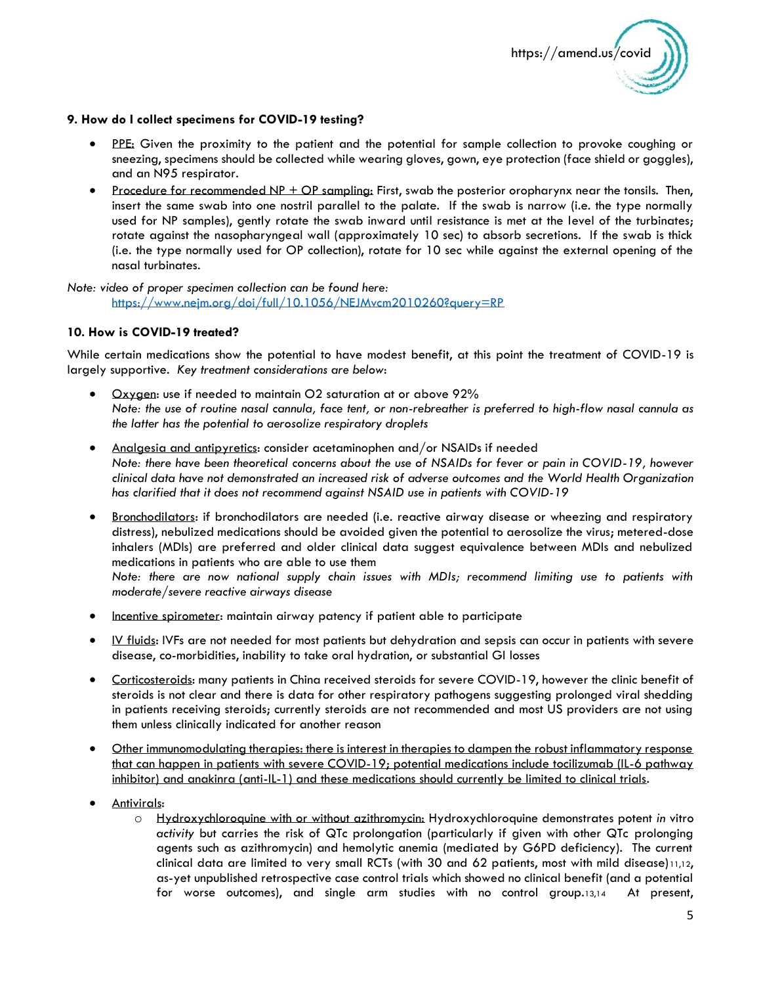

#### **9. How do I collect specimens for COVID-19 testing?**

- PPE: Given the proximity to the patient and the potential for sample collection to provoke coughing or sneezing, specimens should be collected while wearing gloves, gown, eye protection (face shield or goggles), and an N95 respirator.
- Procedure for recommended NP + OP sampling: First, swab the posterior oropharynx near the tonsils. Then, insert the same swab into one nostril parallel to the palate. If the swab is narrow (i.e. the type normally used for NP samples), gently rotate the swab inward until resistance is met at the level of the turbinates; rotate against the nasopharyngeal wall (approximately 10 sec) to absorb secretions. If the swab is thick (i.e. the type normally used for OP collection), rotate for 10 sec while against the external opening of the nasal turbinates.

*Note: video of proper specimen collection can be found here:*  <https://www.nejm.org/doi/full/10.1056/NEJMvcm2010260?query=RP>

### **10. How is COVID-19 treated?**

While certain medications show the potential to have modest benefit, at this point the treatment of COVID-19 is largely supportive. *Key treatment considerations are below*:

- Oxygen: use if needed to maintain O2 saturation at or above 92% *Note: the use of routine nasal cannula, face tent, or non-rebreather is preferred to high-flow nasal cannula as the latter has the potential to aerosolize respiratory droplets*
- Analgesia and antipyretics: consider acetaminophen and/or NSAIDs if needed *Note: there have been theoretical concerns about the use of NSAIDs for fever or pain in COVID-19, however clinical data have not demonstrated an increased risk of adverse outcomes and the World Health Organization has clarified that it does not recommend against NSAID use in patients with COVID-19*
- Bronchodilators: if bronchodilators are needed (i.e. reactive airway disease or wheezing and respiratory distress), nebulized medications should be avoided given the potential to aerosolize the virus; metered-dose inhalers (MDIs) are preferred and older clinical data suggest equivalence between MDIs and nebulized medications in patients who are able to use them

*Note: there are now national supply chain issues with MDIs; recommend limiting use to patients with moderate/severe reactive airways disease*

- Incentive spirometer: maintain airway patency if patient able to participate
- IV fluids: IVFs are not needed for most patients but dehydration and sepsis can occur in patients with severe disease, co-morbidities, inability to take oral hydration, or substantial GI losses
- Corticosteroids: many patients in China received steroids for severe COVID-19, however the clinic benefit of steroids is not clear and there is data for other respiratory pathogens suggesting prolonged viral shedding in patients receiving steroids; currently steroids are not recommended and most US providers are not using them unless clinically indicated for another reason
- Other immunomodulating therapies: there is interest in therapies to dampen the robust inflammatory response that can happen in patients with severe COVID-19; potential medications include tocilizumab (IL-6 pathway inhibitor) and anakinra (anti-IL-1) and these medications should currently be limited to clinical trials.
- Antivirals:
	- o Hydroxychloroquine with or without azithromycin: Hydroxychloroquine demonstrates potent *in* vitro *activity* but carries the risk of QTc prolongation (particularly if given with other QTc prolonging agents such as azithromycin) and hemolytic anemia (mediated by G6PD deficiency). The current clinical data are limited to very small RCTs (with 30 and 62 patients, most with mild disease)11,12, as-yet unpublished retrospective case control trials which showed no clinical benefit (and a potential for worse outcomes), and single arm studies with no control group.13,14 At present,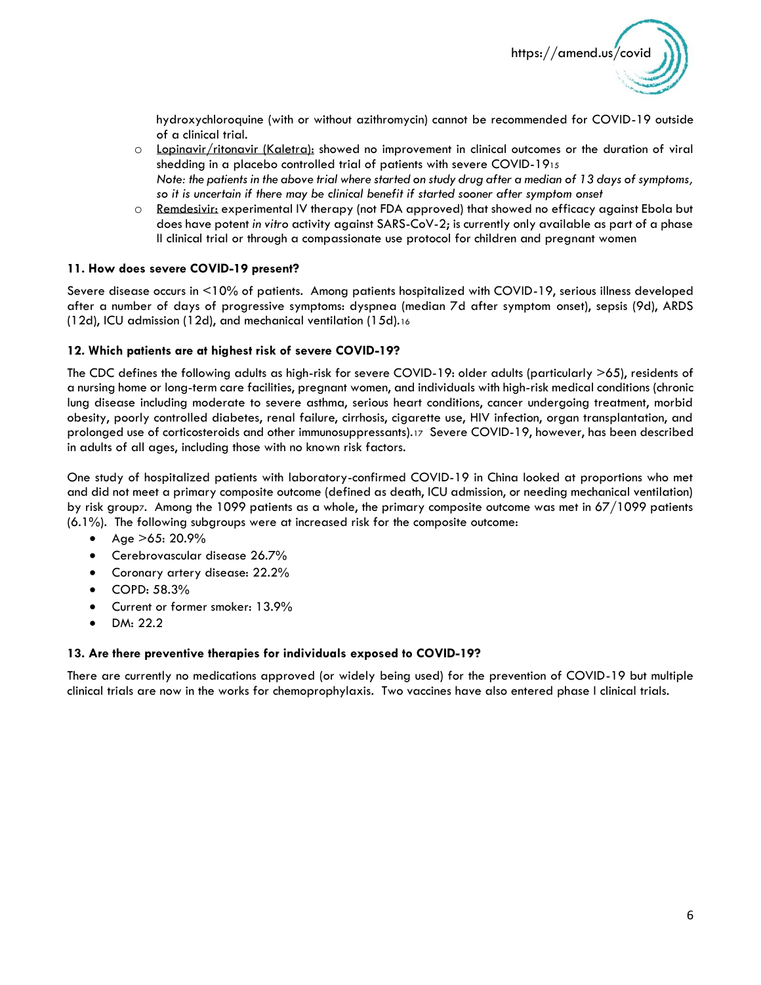

hydroxychloroquine (with or without azithromycin) cannot be recommended for COVID-19 outside of a clinical trial.

- o Lopinavir/ritonavir (Kaletra): showed no improvement in clinical outcomes or the duration of viral shedding in a placebo controlled trial of patients with severe COVID-19<sup>15</sup> *Note: the patients in the above trial where started on study drug after a median of 13 days of symptoms, so it is uncertain if there may be clinical benefit if started sooner after symptom onset*
- o Remdesivir: experimental IV therapy (not FDA approved) that showed no efficacy against Ebola but does have potent *in vitro* activity against SARS-CoV-2; is currently only available as part of a phase II clinical trial or through a compassionate use protocol for children and pregnant women

#### **11. How does severe COVID-19 present?**

Severe disease occurs in <10% of patients. Among patients hospitalized with COVID-19, serious illness developed after a number of days of progressive symptoms: dyspnea (median 7d after symptom onset), sepsis (9d), ARDS (12d), ICU admission (12d), and mechanical ventilation (15d).<sup>16</sup>

#### **12. Which patients are at highest risk of severe COVID-19?**

The CDC defines the following adults as high-risk for severe COVID-19: older adults (particularly >65), residents of a nursing home or long-term care facilities, pregnant women, and individuals with high-risk medical conditions (chronic lung disease including moderate to severe asthma, serious heart conditions, cancer undergoing treatment, morbid obesity, poorly controlled diabetes, renal failure, cirrhosis, cigarette use, HIV infection, organ transplantation, and prolonged use of corticosteroids and other immunosuppressants).17 Severe COVID-19, however, has been described in adults of all ages, including those with no known risk factors.

One study of hospitalized patients with laboratory-confirmed COVID-19 in China looked at proportions who met and did not meet a primary composite outcome (defined as death, ICU admission, or needing mechanical ventilation) by risk group7. Among the 1099 patients as a whole, the primary composite outcome was met in 67/1099 patients (6.1%). The following subgroups were at increased risk for the composite outcome:

- Age  $>65:20.9\%$
- Cerebrovascular disease 26.7%
- Coronary artery disease: 22.2%
- COPD: 58.3%
- Current or former smoker: 13.9%
- DM: 22.2

#### **13. Are there preventive therapies for individuals exposed to COVID-19?**

There are currently no medications approved (or widely being used) for the prevention of COVID-19 but multiple clinical trials are now in the works for chemoprophylaxis. Two vaccines have also entered phase I clinical trials.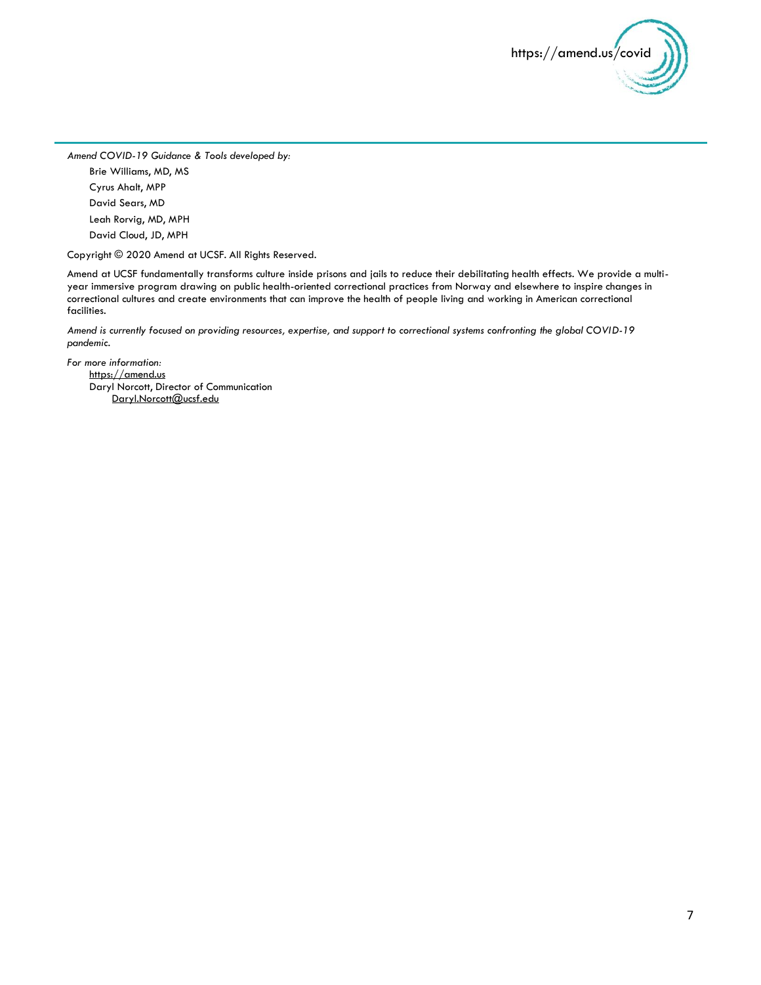

*Amend COVID-19 Guidance & Tools developed by:*

Brie Williams, MD, MS Cyrus Ahalt, MPP David Sears, MD Leah Rorvig, MD, MPH David Cloud, JD, MPH

Copyright © 2020 Amend at UCSF. All Rights Reserved.

Amend at UCSF fundamentally transforms culture inside prisons and jails to reduce their debilitating health effects. We provide a multiyear immersive program drawing on public health-oriented correctional practices from Norway and elsewhere to inspire changes in correctional cultures and create environments that can improve the health of people living and working in American correctional facilities.

*Amend is currently focused on providing resources, expertise, and support to correctional systems confronting the global COVID-19 pandemic.* 

*For more information:* [https://amend.us](https://amend.us/) Daryl Norcott, Director of Communication [Daryl.Norcott@ucsf.edu](mailto:Daryl.Norcott@ucsf.edu)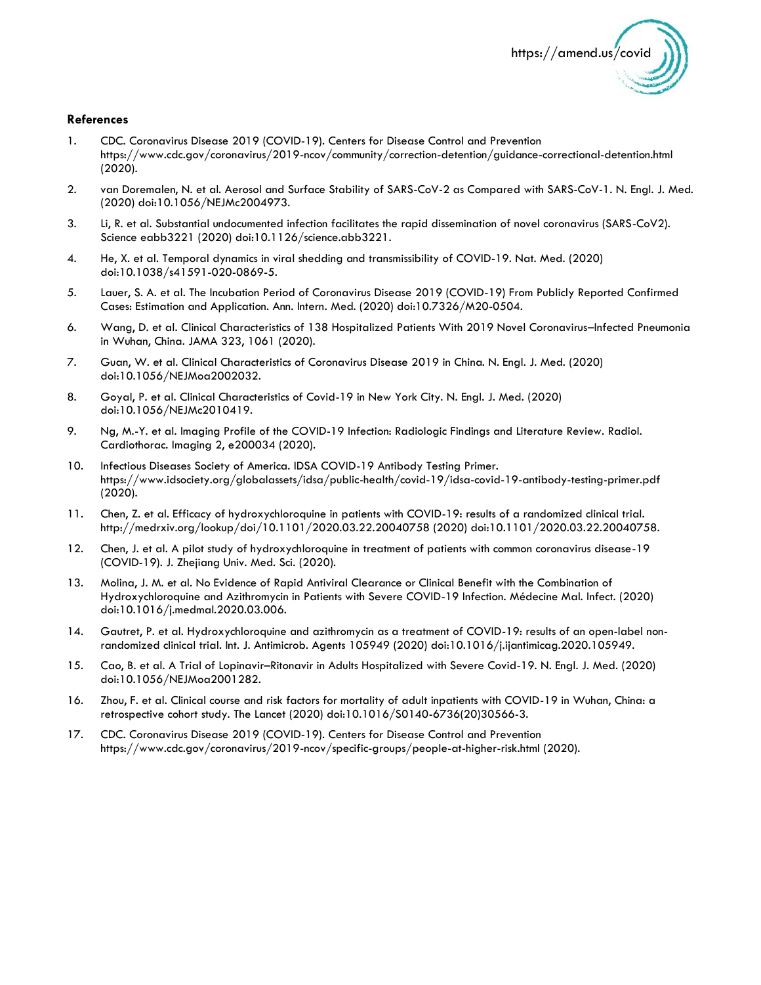

#### **References**

- 1. CDC. Coronavirus Disease 2019 (COVID-19). Centers for Disease Control and Prevention https://www.cdc.gov/coronavirus/2019-ncov/community/correction-detention/guidance-correctional-detention.html (2020).
- 2. van Doremalen, N. et al. Aerosol and Surface Stability of SARS-CoV-2 as Compared with SARS-CoV-1. N. Engl. J. Med. (2020) doi:10.1056/NEJMc2004973.
- 3. Li, R. et al. Substantial undocumented infection facilitates the rapid dissemination of novel coronavirus (SARS-CoV2). Science eabb3221 (2020) doi:10.1126/science.abb3221.
- 4. He, X. et al. Temporal dynamics in viral shedding and transmissibility of COVID-19. Nat. Med. (2020) doi:10.1038/s41591-020-0869-5.
- 5. Lauer, S. A. et al. The Incubation Period of Coronavirus Disease 2019 (COVID-19) From Publicly Reported Confirmed Cases: Estimation and Application. Ann. Intern. Med. (2020) doi:10.7326/M20-0504.
- 6. Wang, D. et al. Clinical Characteristics of 138 Hospitalized Patients With 2019 Novel Coronavirus–Infected Pneumonia in Wuhan, China. JAMA 323, 1061 (2020).
- 7. Guan, W. et al. Clinical Characteristics of Coronavirus Disease 2019 in China. N. Engl. J. Med. (2020) doi:10.1056/NEJMoa2002032.
- 8. Goyal, P. et al. Clinical Characteristics of Covid-19 in New York City. N. Engl. J. Med. (2020) doi:10.1056/NEJMc2010419.
- 9. Ng, M.-Y. et al. Imaging Profile of the COVID-19 Infection: Radiologic Findings and Literature Review. Radiol. Cardiothorac. Imaging 2, e200034 (2020).
- 10. Infectious Diseases Society of America. IDSA COVID-19 Antibody Testing Primer. https://www.idsociety.org/globalassets/idsa/public-health/covid-19/idsa-covid-19-antibody-testing-primer.pdf (2020).
- 11. Chen, Z. et al. Efficacy of hydroxychloroquine in patients with COVID-19: results of a randomized clinical trial. http://medrxiv.org/lookup/doi/10.1101/2020.03.22.20040758 (2020) doi:10.1101/2020.03.22.20040758.
- 12. Chen, J. et al. A pilot study of hydroxychloroquine in treatment of patients with common coronavirus disease-19 (COVID-19). J. Zhejiang Univ. Med. Sci. (2020).
- 13. Molina, J. M. et al. No Evidence of Rapid Antiviral Clearance or Clinical Benefit with the Combination of Hydroxychloroquine and Azithromycin in Patients with Severe COVID-19 Infection. Médecine Mal. Infect. (2020) doi:10.1016/j.medmal.2020.03.006.
- 14. Gautret, P. et al. Hydroxychloroquine and azithromycin as a treatment of COVID-19: results of an open-label nonrandomized clinical trial. Int. J. Antimicrob. Agents 105949 (2020) doi:10.1016/j.ijantimicag.2020.105949.
- 15. Cao, B. et al. A Trial of Lopinavir–Ritonavir in Adults Hospitalized with Severe Covid-19. N. Engl. J. Med. (2020) doi:10.1056/NEJMoa2001282.
- 16. Zhou, F. et al. Clinical course and risk factors for mortality of adult inpatients with COVID-19 in Wuhan, China: a retrospective cohort study. The Lancet (2020) doi:10.1016/S0140-6736(20)30566-3.
- 17. CDC. Coronavirus Disease 2019 (COVID-19). Centers for Disease Control and Prevention https://www.cdc.gov/coronavirus/2019-ncov/specific-groups/people-at-higher-risk.html (2020).